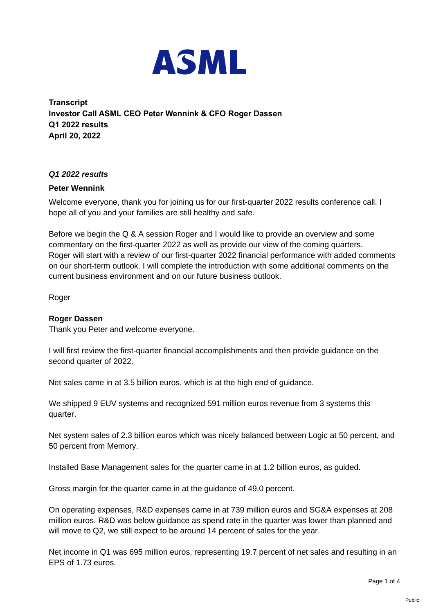

**Transcript Investor Call ASML CEO Peter Wennink & CFO Roger Dassen Q1 2022 results April 20, 2022**

## *Q1 2022 results*

## **Peter Wennink**

Welcome everyone, thank you for joining us for our first-quarter 2022 results conference call. I hope all of you and your families are still healthy and safe.

Before we begin the Q & A session Roger and I would like to provide an overview and some commentary on the first-quarter 2022 as well as provide our view of the coming quarters. Roger will start with a review of our first-quarter 2022 financial performance with added comments on our short-term outlook. I will complete the introduction with some additional comments on the current business environment and on our future business outlook.

Roger

## **Roger Dassen**

Thank you Peter and welcome everyone.

I will first review the first-quarter financial accomplishments and then provide guidance on the second quarter of 2022.

Net sales came in at 3.5 billion euros, which is at the high end of guidance.

We shipped 9 EUV systems and recognized 591 million euros revenue from 3 systems this quarter.

Net system sales of 2.3 billion euros which was nicely balanced between Logic at 50 percent, and 50 percent from Memory.

Installed Base Management sales for the quarter came in at 1.2 billion euros, as guided.

Gross margin for the quarter came in at the guidance of 49.0 percent.

On operating expenses, R&D expenses came in at 739 million euros and SG&A expenses at 208 million euros. R&D was below guidance as spend rate in the quarter was lower than planned and will move to Q2, we still expect to be around 14 percent of sales for the year.

Net income in Q1 was 695 million euros, representing 19.7 percent of net sales and resulting in an EPS of 1.73 euros.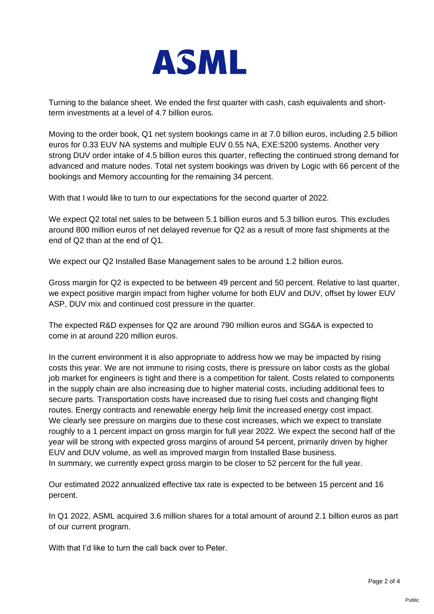

Turning to the balance sheet. We ended the first quarter with cash, cash equivalents and shortterm investments at a level of 4.7 billion euros.

Moving to the order book, Q1 net system bookings came in at 7.0 billion euros, including 2.5 billion euros for 0.33 EUV NA systems and multiple EUV 0.55 NA, EXE:5200 systems. Another very strong DUV order intake of 4.5 billion euros this quarter, reflecting the continued strong demand for advanced and mature nodes. Total net system bookings was driven by Logic with 66 percent of the bookings and Memory accounting for the remaining 34 percent.

With that I would like to turn to our expectations for the second quarter of 2022.

We expect Q2 total net sales to be between 5.1 billion euros and 5.3 billion euros. This excludes around 800 million euros of net delayed revenue for Q2 as a result of more fast shipments at the end of Q2 than at the end of Q1.

We expect our Q2 Installed Base Management sales to be around 1.2 billion euros.

Gross margin for Q2 is expected to be between 49 percent and 50 percent. Relative to last quarter, we expect positive margin impact from higher volume for both EUV and DUV, offset by lower EUV ASP, DUV mix and continued cost pressure in the quarter.

The expected R&D expenses for Q2 are around 790 million euros and SG&A is expected to come in at around 220 million euros.

In the current environment it is also appropriate to address how we may be impacted by rising costs this year. We are not immune to rising costs, there is pressure on labor costs as the global job market for engineers is tight and there is a competition for talent. Costs related to components in the supply chain are also increasing due to higher material costs, including additional fees to secure parts. Transportation costs have increased due to rising fuel costs and changing flight routes. Energy contracts and renewable energy help limit the increased energy cost impact. We clearly see pressure on margins due to these cost increases, which we expect to translate roughly to a 1 percent impact on gross margin for full year 2022. We expect the second half of the year will be strong with expected gross margins of around 54 percent, primarily driven by higher EUV and DUV volume, as well as improved margin from Installed Base business. In summary, we currently expect gross margin to be closer to 52 percent for the full year.

Our estimated 2022 annualized effective tax rate is expected to be between 15 percent and 16 percent.

In Q1 2022, ASML acquired 3.6 million shares for a total amount of around 2.1 billion euros as part of our current program.

With that I'd like to turn the call back over to Peter.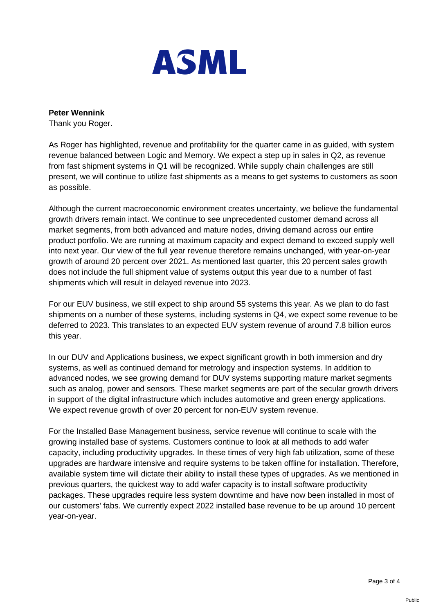

**Peter Wennink**

Thank you Roger.

As Roger has highlighted, revenue and profitability for the quarter came in as guided, with system revenue balanced between Logic and Memory. We expect a step up in sales in Q2, as revenue from fast shipment systems in Q1 will be recognized. While supply chain challenges are still present, we will continue to utilize fast shipments as a means to get systems to customers as soon as possible.

Although the current macroeconomic environment creates uncertainty, we believe the fundamental growth drivers remain intact. We continue to see unprecedented customer demand across all market segments, from both advanced and mature nodes, driving demand across our entire product portfolio. We are running at maximum capacity and expect demand to exceed supply well into next year. Our view of the full year revenue therefore remains unchanged, with year-on-year growth of around 20 percent over 2021. As mentioned last quarter, this 20 percent sales growth does not include the full shipment value of systems output this year due to a number of fast shipments which will result in delayed revenue into 2023.

For our EUV business, we still expect to ship around 55 systems this year. As we plan to do fast shipments on a number of these systems, including systems in Q4, we expect some revenue to be deferred to 2023. This translates to an expected EUV system revenue of around 7.8 billion euros this year.

In our DUV and Applications business, we expect significant growth in both immersion and dry systems, as well as continued demand for metrology and inspection systems. In addition to advanced nodes, we see growing demand for DUV systems supporting mature market segments such as analog, power and sensors. These market segments are part of the secular growth drivers in support of the digital infrastructure which includes automotive and green energy applications. We expect revenue growth of over 20 percent for non-EUV system revenue.

For the Installed Base Management business, service revenue will continue to scale with the growing installed base of systems. Customers continue to look at all methods to add wafer capacity, including productivity upgrades. In these times of very high fab utilization, some of these upgrades are hardware intensive and require systems to be taken offline for installation. Therefore, available system time will dictate their ability to install these types of upgrades. As we mentioned in previous quarters, the quickest way to add wafer capacity is to install software productivity packages. These upgrades require less system downtime and have now been installed in most of our customers' fabs. We currently expect 2022 installed base revenue to be up around 10 percent year-on-year.